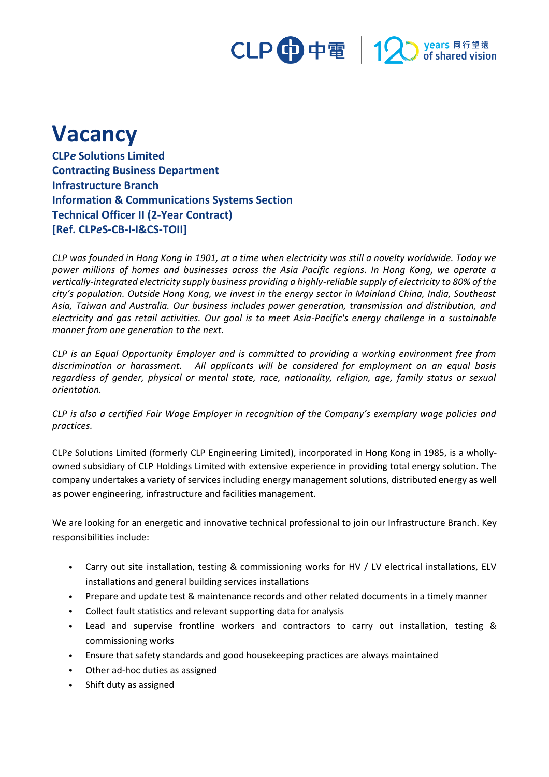# CLP 中電 12 stared vision

## **Vacancy**

**CLP***e* **Solutions Limited Contracting Business Department Infrastructure Branch Information & Communications Systems Section Technical Officer II (2-Year Contract) [Ref. CLP***e***S-CB-I-I&CS-TOII]**

*CLP was founded in Hong Kong in 1901, at a time when electricity was still a novelty worldwide. Today we power millions of homes and businesses across the Asia Pacific regions. In Hong Kong, we operate a vertically-integrated electricity supply business providing a highly-reliable supply of electricity to 80% of the city's population. Outside Hong Kong, we invest in the energy sector in Mainland China, India, Southeast Asia, Taiwan and Australia. Our business includes power generation, transmission and distribution, and electricity and gas retail activities. Our goal is to meet Asia-Pacific's energy challenge in a sustainable manner from one generation to the next.*

*CLP is an Equal Opportunity Employer and is committed to providing a working environment free from discrimination or harassment. All applicants will be considered for employment on an equal basis regardless of gender, physical or mental state, race, nationality, religion, age, family status or sexual orientation.*

*CLP is also a certified Fair Wage Employer in recognition of the Company's exemplary wage policies and practices.*

CLP*e* Solutions Limited (formerly CLP Engineering Limited), incorporated in Hong Kong in 1985, is a whollyowned subsidiary of CLP Holdings Limited with extensive experience in providing total energy solution. The company undertakes a variety of services including energy management solutions, distributed energy as well as power engineering, infrastructure and facilities management.

We are looking for an energetic and innovative technical professional to join our Infrastructure Branch. Key responsibilities include:

- Carry out site installation, testing & commissioning works for HV / LV electrical installations, ELV installations and general building services installations
- Prepare and update test & maintenance records and other related documents in a timely manner
- Collect fault statistics and relevant supporting data for analysis
- Lead and supervise frontline workers and contractors to carry out installation, testing & commissioning works
- Ensure that safety standards and good housekeeping practices are always maintained
- Other ad-hoc duties as assigned
- Shift duty as assigned